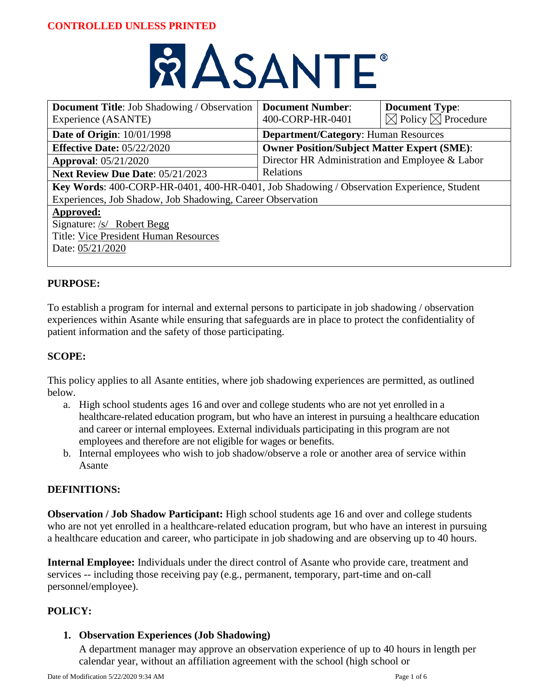# **RASANTE**

| <b>Document Title:</b> Job Shadowing / Observation<br>Experience (ASANTE)                 | <b>Document Number:</b><br>400-CORP-HR-0401        | <b>Document Type:</b><br>$\boxtimes$ Policy $\boxtimes$ Procedure |
|-------------------------------------------------------------------------------------------|----------------------------------------------------|-------------------------------------------------------------------|
| <b>Date of Origin: 10/01/1998</b>                                                         | <b>Department/Category: Human Resources</b>        |                                                                   |
| <b>Effective Date: 05/22/2020</b>                                                         | <b>Owner Position/Subject Matter Expert (SME):</b> |                                                                   |
| <b>Approval:</b> 05/21/2020                                                               | Director HR Administration and Employee & Labor    |                                                                   |
| Next Review Due Date: 05/21/2023                                                          | Relations                                          |                                                                   |
| Key Words: 400-CORP-HR-0401, 400-HR-0401, Job Shadowing / Observation Experience, Student |                                                    |                                                                   |
| Experiences, Job Shadow, Job Shadowing, Career Observation                                |                                                    |                                                                   |
| Approved:                                                                                 |                                                    |                                                                   |
| Signature: /s/ Robert Begg                                                                |                                                    |                                                                   |
| Title: Vice President Human Resources                                                     |                                                    |                                                                   |
| Date: 05/21/2020                                                                          |                                                    |                                                                   |
|                                                                                           |                                                    |                                                                   |

# **PURPOSE:**

To establish a program for internal and external persons to participate in job shadowing / observation experiences within Asante while ensuring that safeguards are in place to protect the confidentiality of patient information and the safety of those participating.

# **SCOPE:**

This policy applies to all Asante entities, where job shadowing experiences are permitted, as outlined below.

- a. High school students ages 16 and over and college students who are not yet enrolled in a healthcare-related education program, but who have an interest in pursuing a healthcare education and career or internal employees. External individuals participating in this program are not employees and therefore are not eligible for wages or benefits.
- b. Internal employees who wish to job shadow/observe a role or another area of service within Asante

# **DEFINITIONS:**

**Observation / Job Shadow Participant:** High school students age 16 and over and college students who are not yet enrolled in a healthcare-related education program, but who have an interest in pursuing a healthcare education and career, who participate in job shadowing and are observing up to 40 hours.

**Internal Employee:** Individuals under the direct control of Asante who provide care, treatment and services -- including those receiving pay (e.g., permanent, temporary, part-time and on-call personnel/employee).

# **POLICY:**

# **1. Observation Experiences (Job Shadowing)**

A department manager may approve an observation experience of up to 40 hours in length per calendar year, without an affiliation agreement with the school (high school or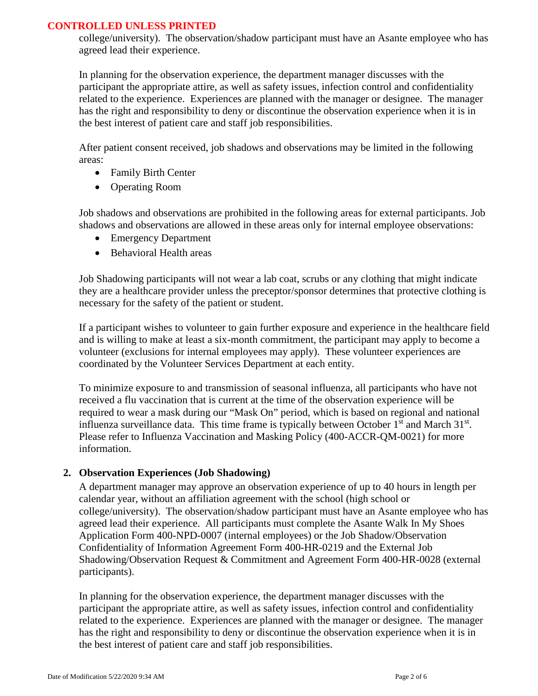college/university). The observation/shadow participant must have an Asante employee who has agreed lead their experience.

In planning for the observation experience, the department manager discusses with the participant the appropriate attire, as well as safety issues, infection control and confidentiality related to the experience. Experiences are planned with the manager or designee. The manager has the right and responsibility to deny or discontinue the observation experience when it is in the best interest of patient care and staff job responsibilities.

After patient consent received, job shadows and observations may be limited in the following areas:

- Family Birth Center
- Operating Room

Job shadows and observations are prohibited in the following areas for external participants. Job shadows and observations are allowed in these areas only for internal employee observations:

- Emergency Department
- Behavioral Health areas

Job Shadowing participants will not wear a lab coat, scrubs or any clothing that might indicate they are a healthcare provider unless the preceptor/sponsor determines that protective clothing is necessary for the safety of the patient or student.

If a participant wishes to volunteer to gain further exposure and experience in the healthcare field and is willing to make at least a six-month commitment, the participant may apply to become a volunteer (exclusions for internal employees may apply). These volunteer experiences are coordinated by the Volunteer Services Department at each entity.

To minimize exposure to and transmission of seasonal influenza, all participants who have not received a flu vaccination that is current at the time of the observation experience will be required to wear a mask during our "Mask On" period, which is based on regional and national influenza surveillance data. This time frame is typically between October  $1<sup>st</sup>$  and March  $31<sup>st</sup>$ . Please refer to Influenza Vaccination and Masking Policy (400-ACCR-QM-0021) for more information.

#### **2. Observation Experiences (Job Shadowing)**

A department manager may approve an observation experience of up to 40 hours in length per calendar year, without an affiliation agreement with the school (high school or college/university). The observation/shadow participant must have an Asante employee who has agreed lead their experience. All participants must complete the Asante Walk In My Shoes Application Form 400-NPD-0007 (internal employees) or the Job Shadow/Observation Confidentiality of Information Agreement Form 400-HR-0219 and the External Job Shadowing/Observation Request & Commitment and Agreement Form 400-HR-0028 (external participants).

In planning for the observation experience, the department manager discusses with the participant the appropriate attire, as well as safety issues, infection control and confidentiality related to the experience. Experiences are planned with the manager or designee. The manager has the right and responsibility to deny or discontinue the observation experience when it is in the best interest of patient care and staff job responsibilities.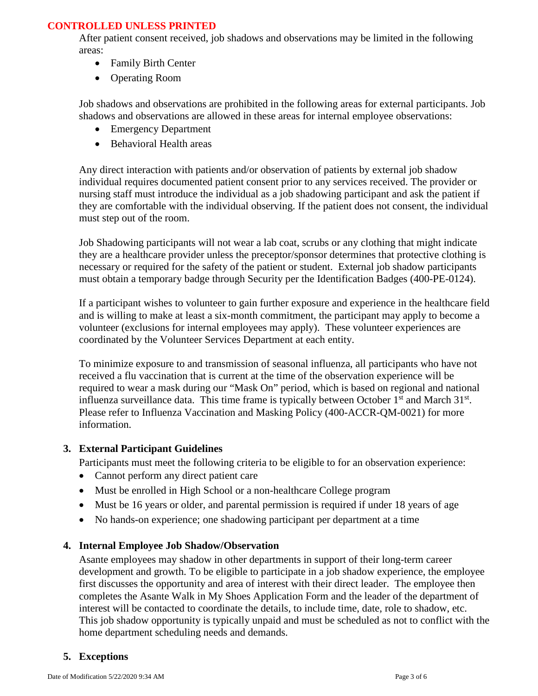After patient consent received, job shadows and observations may be limited in the following areas:

- Family Birth Center
- Operating Room

Job shadows and observations are prohibited in the following areas for external participants. Job shadows and observations are allowed in these areas for internal employee observations:

- Emergency Department
- Behavioral Health areas

Any direct interaction with patients and/or observation of patients by external job shadow individual requires documented patient consent prior to any services received. The provider or nursing staff must introduce the individual as a job shadowing participant and ask the patient if they are comfortable with the individual observing. If the patient does not consent, the individual must step out of the room.

Job Shadowing participants will not wear a lab coat, scrubs or any clothing that might indicate they are a healthcare provider unless the preceptor/sponsor determines that protective clothing is necessary or required for the safety of the patient or student. External job shadow participants must obtain a temporary badge through Security per the Identification Badges (400-PE-0124).

If a participant wishes to volunteer to gain further exposure and experience in the healthcare field and is willing to make at least a six-month commitment, the participant may apply to become a volunteer (exclusions for internal employees may apply). These volunteer experiences are coordinated by the Volunteer Services Department at each entity.

To minimize exposure to and transmission of seasonal influenza, all participants who have not received a flu vaccination that is current at the time of the observation experience will be required to wear a mask during our "Mask On" period, which is based on regional and national influenza surveillance data. This time frame is typically between October  $1<sup>st</sup>$  and March  $31<sup>st</sup>$ . Please refer to Influenza Vaccination and Masking Policy (400-ACCR-QM-0021) for more information.

# **3. External Participant Guidelines**

Participants must meet the following criteria to be eligible to for an observation experience:

- Cannot perform any direct patient care
- Must be enrolled in High School or a non-healthcare College program
- Must be 16 years or older, and parental permission is required if under 18 years of age
- No hands-on experience; one shadowing participant per department at a time

#### **4. Internal Employee Job Shadow/Observation**

Asante employees may shadow in other departments in support of their long-term career development and growth. To be eligible to participate in a job shadow experience, the employee first discusses the opportunity and area of interest with their direct leader. The employee then completes the Asante Walk in My Shoes Application Form and the leader of the department of interest will be contacted to coordinate the details, to include time, date, role to shadow, etc. This job shadow opportunity is typically unpaid and must be scheduled as not to conflict with the home department scheduling needs and demands.

# **5. Exceptions**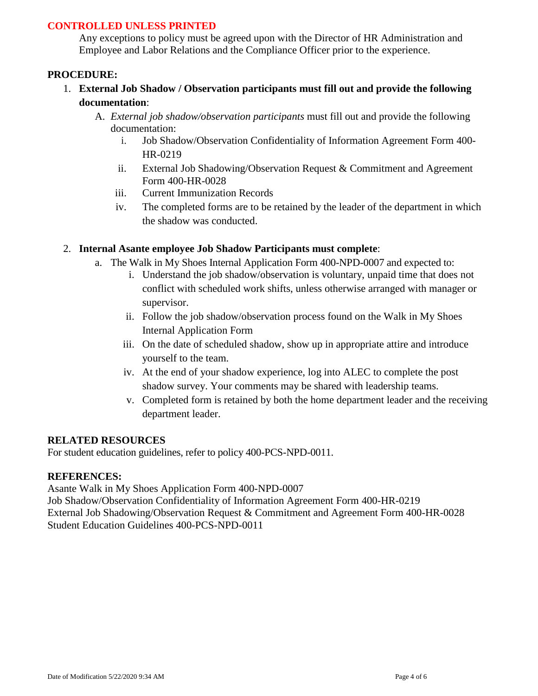Any exceptions to policy must be agreed upon with the Director of HR Administration and Employee and Labor Relations and the Compliance Officer prior to the experience.

#### **PROCEDURE:**

- 1. **External Job Shadow / Observation participants must fill out and provide the following documentation**:
	- A. *External job shadow/observation participants* must fill out and provide the following documentation:
		- i. Job Shadow/Observation Confidentiality of Information Agreement Form 400- HR-0219
		- ii. External Job Shadowing/Observation Request & Commitment and Agreement Form 400-HR-0028
		- iii. Current Immunization Records
		- iv. The completed forms are to be retained by the leader of the department in which the shadow was conducted.

#### 2. **Internal Asante employee Job Shadow Participants must complete**:

- a. The Walk in My Shoes Internal Application Form 400-NPD-0007 and expected to:
	- i. Understand the job shadow/observation is voluntary, unpaid time that does not conflict with scheduled work shifts, unless otherwise arranged with manager or supervisor.
	- ii. Follow the job shadow/observation process found on the Walk in My Shoes Internal Application Form
	- iii. On the date of scheduled shadow, show up in appropriate attire and introduce yourself to the team.
	- iv. At the end of your shadow experience, log into ALEC to complete the post shadow survey. Your comments may be shared with leadership teams.
	- v. Completed form is retained by both the home department leader and the receiving department leader.

#### **RELATED RESOURCES**

For student education guidelines, refer to policy 400-PCS-NPD-0011.

#### **REFERENCES:**

Asante Walk in My Shoes Application Form 400-NPD-0007

Job Shadow/Observation Confidentiality of Information Agreement Form 400-HR-0219 External Job Shadowing/Observation Request & Commitment and Agreement Form 400-HR-0028 Student Education Guidelines 400-PCS-NPD-0011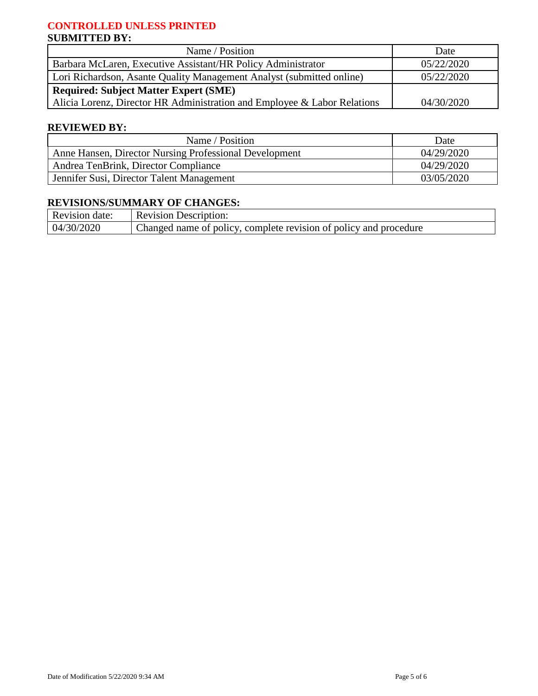# **CONTROLLED UNLESS PRINTED SUBMITTED BY:**

| Name / Position                                                          | Date       |
|--------------------------------------------------------------------------|------------|
| Barbara McLaren, Executive Assistant/HR Policy Administrator             | 05/22/2020 |
| Lori Richardson, Asante Quality Management Analyst (submitted online)    | 05/22/2020 |
| <b>Required: Subject Matter Expert (SME)</b>                             |            |
| Alicia Lorenz, Director HR Administration and Employee & Labor Relations | 04/30/2020 |

### **REVIEWED BY:**

| Name / Position                                        | Date       |
|--------------------------------------------------------|------------|
| Anne Hansen, Director Nursing Professional Development | 04/29/2020 |
| Andrea TenBrink, Director Compliance                   | 04/29/2020 |
| Jennifer Susi, Director Talent Management              | 03/05/2020 |

# **REVISIONS/SUMMARY OF CHANGES:**

| Revision date: | Revision Description:                                             |
|----------------|-------------------------------------------------------------------|
| 04/30/2020     | Changed name of policy, complete revision of policy and procedure |